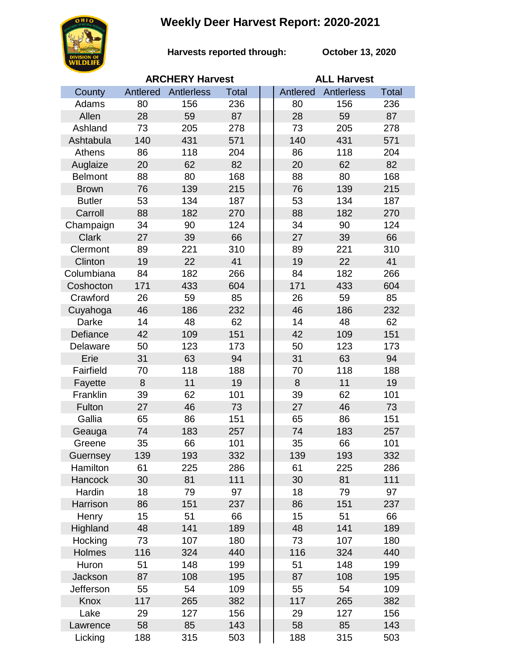## **Weekly Deer Harvest Report: 2020-2021**



**Harvests reported through: October 13, 2020**

|                | <b>ARCHERY Harvest</b> |            |              |  | <b>ALL Harvest</b> |                   |       |  |
|----------------|------------------------|------------|--------------|--|--------------------|-------------------|-------|--|
| County         | Antlered               | Antlerless | <b>Total</b> |  | Antlered           | <b>Antlerless</b> | Total |  |
| Adams          | 80                     | 156        | 236          |  | 80                 | 156               | 236   |  |
| Allen          | 28                     | 59         | 87           |  | 28                 | 59                | 87    |  |
| Ashland        | 73                     | 205        | 278          |  | 73                 | 205               | 278   |  |
| Ashtabula      | 140                    | 431        | 571          |  | 140                | 431               | 571   |  |
| Athens         | 86                     | 118        | 204          |  | 86                 | 118               | 204   |  |
| Auglaize       | 20                     | 62         | 82           |  | 20                 | 62                | 82    |  |
| <b>Belmont</b> | 88                     | 80         | 168          |  | 88                 | 80                | 168   |  |
| <b>Brown</b>   | 76                     | 139        | 215          |  | 76                 | 139               | 215   |  |
| <b>Butler</b>  | 53                     | 134        | 187          |  | 53                 | 134               | 187   |  |
| Carroll        | 88                     | 182        | 270          |  | 88                 | 182               | 270   |  |
| Champaign      | 34                     | 90         | 124          |  | 34                 | 90                | 124   |  |
| <b>Clark</b>   | 27                     | 39         | 66           |  | 27                 | 39                | 66    |  |
| Clermont       | 89                     | 221        | 310          |  | 89                 | 221               | 310   |  |
| Clinton        | 19                     | 22         | 41           |  | 19                 | 22                | 41    |  |
| Columbiana     | 84                     | 182        | 266          |  | 84                 | 182               | 266   |  |
| Coshocton      | 171                    | 433        | 604          |  | 171                | 433               | 604   |  |
| Crawford       | 26                     | 59         | 85           |  | 26                 | 59                | 85    |  |
| Cuyahoga       | 46                     | 186        | 232          |  | 46                 | 186               | 232   |  |
| Darke          | 14                     | 48         | 62           |  | 14                 | 48                | 62    |  |
| Defiance       | 42                     | 109        | 151          |  | 42                 | 109               | 151   |  |
| Delaware       | 50                     | 123        | 173          |  | 50                 | 123               | 173   |  |
| Erie           | 31                     | 63         | 94           |  | 31                 | 63                | 94    |  |
| Fairfield      | 70                     | 118        | 188          |  | 70                 | 118               | 188   |  |
| Fayette        | 8                      | 11         | 19           |  | 8                  | 11                | 19    |  |
| Franklin       | 39                     | 62         | 101          |  | 39                 | 62                | 101   |  |
| Fulton         | 27                     | 46         | 73           |  | 27                 | 46                | 73    |  |
| Gallia         | 65                     | 86         | 151          |  | 65                 | 86                | 151   |  |
| Geauga         | 74                     | 183        | 257          |  | 74                 | 183               | 257   |  |
| Greene         | 35                     | 66         | 101          |  | 35                 | 66                | 101   |  |
| Guernsey       | 139                    | 193        | 332          |  | 139                | 193               | 332   |  |
| Hamilton       | 61                     | 225        | 286          |  | 61                 | 225               | 286   |  |
| Hancock        | 30                     | 81         | 111          |  | 30                 | 81                | 111   |  |
| Hardin         | 18                     | 79         | 97           |  | 18                 | 79                | 97    |  |
| Harrison       | 86                     | 151        | 237          |  | 86                 | 151               | 237   |  |
| Henry          | 15                     | 51         | 66           |  | 15                 | 51                | 66    |  |
| Highland       | 48                     | 141        | 189          |  | 48                 | 141               | 189   |  |
| Hocking        | 73                     | 107        | 180          |  | 73                 | 107               | 180   |  |
| Holmes         | 116                    | 324        | 440          |  | 116                | 324               | 440   |  |
| Huron          | 51                     | 148        | 199          |  | 51                 | 148               | 199   |  |
| Jackson        | 87                     | 108        | 195          |  | 87                 | 108               | 195   |  |
| Jefferson      | 55                     | 54         | 109          |  | 55                 | 54                | 109   |  |
| Knox           | 117                    | 265        | 382          |  | 117                | 265               | 382   |  |
| Lake           | 29                     | 127        | 156          |  | 29                 | 127               | 156   |  |
| Lawrence       | 58                     | 85         | 143          |  | 58                 | 85                | 143   |  |
| Licking        | 188                    | 315        | 503          |  | 188                | 315               | 503   |  |